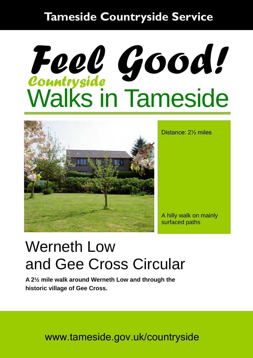#### **Tameside Countryside Service**

# Walks in Tameside *Countryside Feel Good!*



Distance: 2½ miles

A hilly walk on mainly surfaced paths

## Werneth Low and Gee Cross Circular

**A 2½ mile walk around Werneth Low and through the historic village of Gee Cross.** 

www.tameside.gov.uk/countryside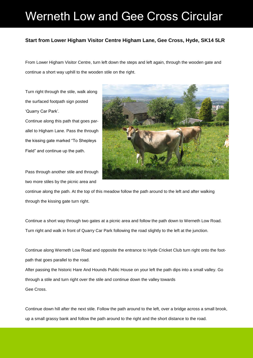### Werneth Low and Gee Cross Circular

#### **Start from Lower Higham Visitor Centre Higham Lane, Gee Cross, Hyde, SK14 5LR**

From Lower Higham Visitor Centre, turn left down the steps and left again, through the wooden gate and continue a short way uphill to the wooden stile on the right.

Turn right through the stile, walk along the surfaced footpath sign posted 'Quarry Car Park'.

Continue along this path that goes parallel to Higham Lane. Pass the through the kissing gate marked "To Shepleys Field" and continue up the path.

Pass through another stile and through two more stiles by the picnic area and



continue along the path. At the top of this meadow follow the path around to the left and after walking through the kissing gate turn right.

Continue a short way through two gates at a picnic area and follow the path down to Werneth Low Road. Turn right and walk in front of Quarry Car Park following the road slightly to the left at the junction.

Continue along Werneth Low Road and opposite the entrance to Hyde Cricket Club turn right onto the footpath that goes parallel to the road.

After passing the historic Hare And Hounds Public House on your left the path dips into a small valley. Go through a stile and turn right over the stile and continue down the valley towards Gee Cross.

Continue down hill after the next stile. Follow the path around to the left, over a bridge across a small brook, up a small grassy bank and follow the path around to the right and the short distance to the road.